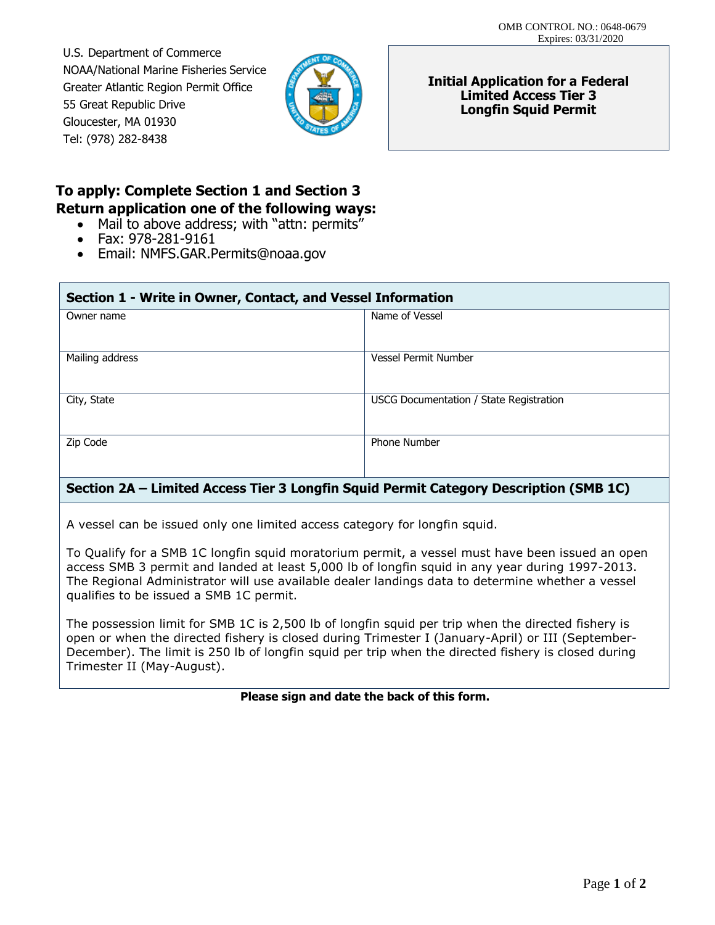U.S. Department of Commerce NOAA/National Marine Fisheries Service Greater Atlantic Region Permit Office 55 Great Republic Drive Gloucester, MA 01930 Tel: (978) 282-8438



**Initial Application for a Federal Limited Access Tier 3 Longfin Squid Permit** 

# **To apply: Complete Section 1 and Section 3 Return application one of the following ways:**

- Mail to above address; with "attn: permits"
- Fax: 978-281-9161
- Email: [NMFS.GAR.Permits@noaa.gov](mailto:NMFS.GAR.Permits@noaa.gov)

| Section 1 - Write in Owner, Contact, and Vessel Information |                                                |
|-------------------------------------------------------------|------------------------------------------------|
| Owner name                                                  | Name of Vessel                                 |
| Mailing address                                             | Vessel Permit Number                           |
| City, State                                                 | <b>USCG Documentation / State Registration</b> |
| Zip Code                                                    | <b>Phone Number</b>                            |
|                                                             |                                                |

### **Section 2A – Limited Access Tier 3 Longfin Squid Permit Category Description (SMB 1C)**

A vessel can be issued only one limited access category for longfin squid.

 To Qualify for a SMB 1C longfin squid moratorium permit, a vessel must have been issued an open access SMB 3 permit and landed at least 5,000 lb of longfin squid in any year during 1997-2013. The Regional Administrator will use available dealer landings data to determine whether a vessel qualifies to be issued a SMB 1C permit.

The possession limit for SMB 1C is 2,500 lb of longfin squid per trip when the directed fishery is open or when the directed fishery is closed during Trimester I (January-April) or III (September-December). The limit is 250 lb of longfin squid per trip when the directed fishery is closed during Trimester II (May-August).

#### **Please sign and date the back of this form.**